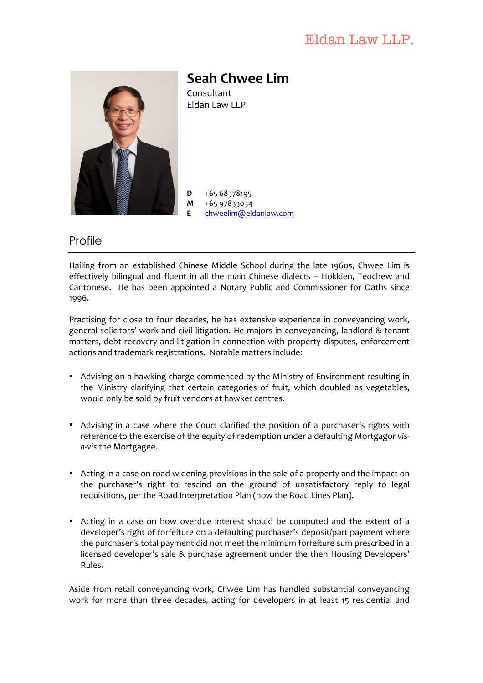# Eldan Law LLP.



**Seah Chwee Lim** Consultant Eldan Law LLP

 $D + 6568378195$ **M** +65 97833034 **E** chweelim@eldanlaw.com

## **Profile**

Hailing from an established Chinese Middle School during the late 1960s, Chwee Lim is effectively bilingual and fluent in all the main Chinese dialects - Hokkien, Teochew and Cantonese. He has been appointed a Notary Public and Commissioner for Oaths since 1996.

Practising for close to four decades, he has extensive experience in conveyancing work, general solicitors' work and civil litigation. He majors in conveyancing, landlord & tenant matters, debt recovery and litigation in connection with property disputes, enforcement actions and trademark registrations. Notable matters include:

- Advising on a hawking charge commenced by the Ministry of Environment resulting in the Ministry clarifying that certain categories of fruit, which doubled as vegetables, would only be sold by fruit vendors at hawker centres.
- **•** Advising in a case where the Court clarified the position of a purchaser's rights with reference to the exercise of the equity of redemption under a defaulting Mortgagor visa-vis the Mortgagee.
- Acting in a case on road-widening provisions in the sale of a property and the impact on the purchaser's right to rescind on the ground of unsatisfactory reply to legal requisitions, per the Road Interpretation Plan (now the Road Lines Plan).
- Acting in a case on how overdue interest should be computed and the extent of a developer's right of forfeiture on a defaulting purchaser's deposit/part payment where the purchaser's total payment did not meet the minimum forfeiture sum prescribed in a licensed developer's sale & purchase agreement under the then Housing Developers' Rules.

Aside from retail conveyancing work, Chwee Lim has handled substantial conveyancing work for more than three decades, acting for developers in at least 15 residential and